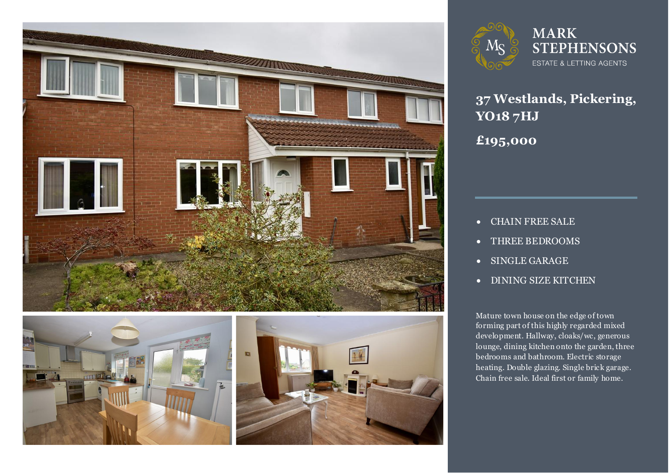







**37 Westlands, Pickering, YO18 7HJ**

**£195,000**

- CHAIN FREE SALE
- THREE BEDROOMS
- SINGLE GARAGE
- DINING SIZE KITCHEN

**he edge of town discussed in Eq. (1)**<br>hly regarded mixed development. Hallway, cloaks/wc, generous<br>lounge. dining kitchen onto the garden. three Chain free sale. Ideal first or family home.<br> Mature town house on the edge of town forming part of this highly regarded mixed lounge, dining kitchen onto the garden, three bedrooms and bathroom. Electric storage heating. Double glazing. Single brick garage.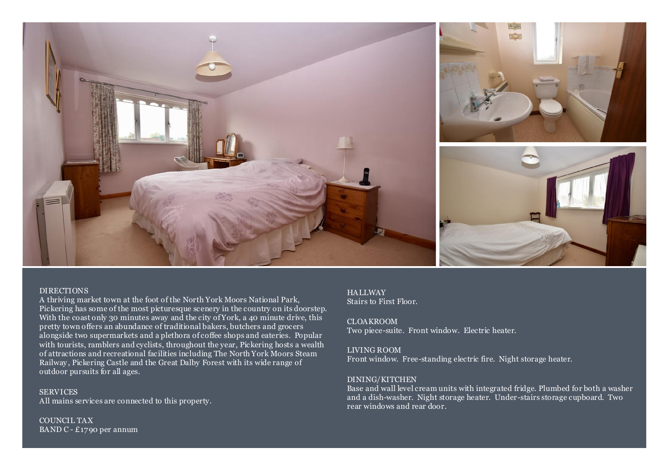

#### DIRECTIONS

A thriving market town at the foot of the North York Moors National Park, Pickering has some of the most picturesque scenery in the country on its doorstep. With the coast only 30 minutes away and the city of York, a 40 minute drive, this pretty town offers an abundance of traditional bakers, butchers and grocers alongside two supermarkets and a plethora of coffee shops and eateries. Popular with tourists, ramblers and cyclists, throughout the year, Pickering hosts a wealth of attractions and recreational facilities including The North York Moors Steam Railway, Pickering Castle and the Great Dalby Forest with its wide range of outdoor pursuits for all ages.

**SERVICES** All mains services are connected to this property.

COUNCIL TAX BAND C - £1790 per annum

## **HALLWAY**

Stairs to First Floor.

CLOAKROOM Two piece-suite. Front window. Electric heater.

#### LIVING ROOM

Front window. Free-standing electric fire. Night storage heater.

### DINING/KITCHEN

Base and wall level cream units with integrated fridge. Plumbed for both a washer and a dish-washer. Night storage heater. Under-stairs storage cupboard. Two rear windows and rear door.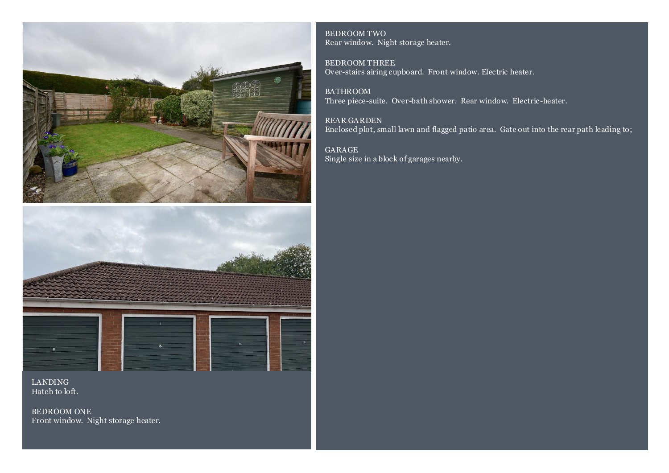



LANDING Hatch to loft.

BEDROOM ONE Front window. Night storage heater.

BEDROOM TWO Rear window. Night storage heater.

BEDROOM THREE Over-stairs airing cupboard. Front window. Electric heater.

BATHROOM Three piece-suite. Over-bath shower. Rear window. Electric -heater.

REAR GARDEN Enclosed plot, small lawn and flagged patio area. Gate out into the rear path leading to;

GARAGE Single size in a block of garages nearby.